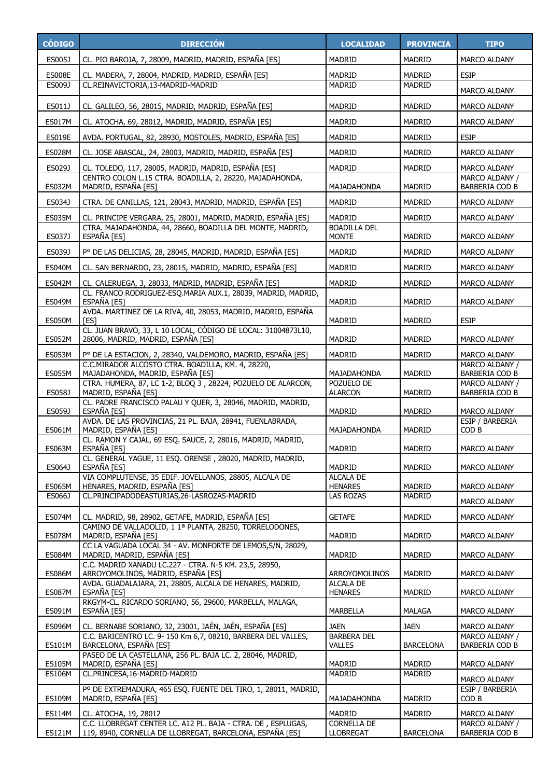| <b>CÓDIGO</b>           | <b>DIRECCIÓN</b>                                                                                                         | <b>LOCALIDAD</b>                       | <b>PROVINCIA</b>               | <b>TIPO</b>                             |
|-------------------------|--------------------------------------------------------------------------------------------------------------------------|----------------------------------------|--------------------------------|-----------------------------------------|
| ES005J                  | CL. PIO BAROJA, 7, 28009, MADRID, MADRID, ESPAÑA [ES]                                                                    | <b>MADRID</b>                          | <b>MADRID</b>                  | MARCO ALDANY                            |
| <b>ES008E</b>           | CL. MADERA, 7, 28004, MADRID, MADRID, ESPAÑA [ES]                                                                        | <b>MADRID</b>                          | <b>MADRID</b>                  | <b>ESIP</b>                             |
| ES009J                  | CL.REINAVICTORIA,13-MADRID-MADRID                                                                                        | <b>MADRID</b>                          | MADRID                         | <b>MARCO ALDANY</b>                     |
| ES011J                  | CL. GALILEO, 56, 28015, MADRID, MADRID, ESPAÑA [ES]                                                                      | <b>MADRID</b>                          | <b>MADRID</b>                  | MARCO ALDANY                            |
| <b>ES017M</b>           | CL. ATOCHA, 69, 28012, MADRID, MADRID, ESPAÑA [ES]                                                                       | <b>MADRID</b>                          | <b>MADRID</b>                  | MARCO ALDANY                            |
| <b>ES019E</b>           | AVDA. PORTUGAL, 82, 28930, MOSTOLES, MADRID, ESPAÑA [ES]                                                                 | <b>MADRID</b>                          | <b>MADRID</b>                  | <b>ESIP</b>                             |
| <b>ES028M</b>           | CL. JOSE ABASCAL, 24, 28003, MADRID, MADRID, ESPAÑA [ES]                                                                 | <b>MADRID</b>                          | <b>MADRID</b>                  | MARCO ALDANY                            |
| ES029J                  | CL. TOLEDO, 117, 28005, MADRID, MADRID, ESPAÑA [ES]                                                                      | <b>MADRID</b>                          | <b>MADRID</b>                  | MARCO ALDANY                            |
| ES032M                  | CENTRO COLON L.15 CTRA. BOADILLA, 2, 28220, MAJADAHONDA,<br>MADRID, ESPAÑA [ES]                                          | MAJADAHONDA                            | <b>MADRID</b>                  | MARCO ALDANY /<br><b>BARBERIA COD B</b> |
| ES034J                  | CTRA. DE CANILLAS, 121, 28043, MADRID, MADRID, ESPAÑA [ES]                                                               | <b>MADRID</b>                          | <b>MADRID</b>                  | MARCO ALDANY                            |
| <b>ES035M</b>           | CL. PRINCIPE VERGARA, 25, 28001, MADRID, MADRID, ESPAÑA [ES]                                                             | <b>MADRID</b>                          | <b>MADRID</b>                  | <b>MARCO ALDANY</b>                     |
| ES037J                  | CTRA. MAJADAHONDA, 44, 28660, BOADILLA DEL MONTE, MADRID,<br>ESPAÑA [ES]                                                 | <b>BOADILLA DEL</b><br><b>MONTE</b>    | <b>MADRID</b>                  | MARCO ALDANY                            |
| ES039J                  | Pº DE LAS DELICIAS, 28, 28045, MADRID, MADRID, ESPAÑA [ES]                                                               | <b>MADRID</b>                          | <b>MADRID</b>                  | MARCO ALDANY                            |
| <b>ES040M</b>           | CL. SAN BERNARDO, 23, 28015, MADRID, MADRID, ESPAÑA [ES]                                                                 | <b>MADRID</b>                          | <b>MADRID</b>                  | <b>MARCO ALDANY</b>                     |
| <b>ES042M</b>           | CL. CALERUEGA, 3, 28033, MADRID, MADRID, ESPAÑA [ES]                                                                     | <b>MADRID</b>                          | <b>MADRID</b>                  | <b>MARCO ALDANY</b>                     |
| <b>ES049M</b>           | CL. FRANCO RODRIGUEZ-ESO.MARIA AUX.1, 28039, MADRID, MADRID,<br>ESPAÑA [ES]                                              | <b>MADRID</b>                          | <b>MADRID</b>                  | <b>MARCO ALDANY</b>                     |
| <b>ES050M</b>           | AVDA. MARTINEZ DE LA RIVA, 40, 28053, MADRID, MADRID, ESPAÑA<br>[ES]                                                     | <b>MADRID</b>                          | <b>MADRID</b>                  | <b>ESIP</b>                             |
| <b>ES052M</b>           | CL. JUAN BRAVO, 33, L 10 LOCAL, CÓDIGO DE LOCAL: 31004873L10,<br>28006, MADRID, MADRID, ESPAÑA [ES]                      | <b>MADRID</b>                          | <b>MADRID</b>                  | MARCO ALDANY                            |
| <b>ES053M</b>           | P° DE LA ESTACION, 2, 28340, VALDEMORO, MADRID, ESPAÑA [ES]                                                              | <b>MADRID</b>                          | <b>MADRID</b>                  | MARCO ALDANY                            |
| <b>ES055M</b>           | C.C.MIRADOR ALCOSTO CTRA. BOADILLA, KM. 4, 28220,<br>MAJADAHONDA, MADRID, ESPAÑA [ES]                                    | MAJADAHONDA                            | <b>MADRID</b>                  | MARCO ALDANY /<br>BARBERIA COD B        |
| ES058J                  | CTRA. HUMERA, 87, LC 1-2, BLOQ 3, 28224, POZUELO DE ALARCON,<br>MADRID, ESPAÑA [ES]                                      | POZUELO DE<br><b>ALARCON</b>           | <b>MADRID</b>                  | MARCO ALDANY /<br><b>BARBERIA COD B</b> |
| ES059J                  | CL. PADRE FRANCISCO PALAU Y QUER, 3, 28046, MADRID, MADRID,<br>ESPAÑA [ES]                                               | <b>MADRID</b>                          | <b>MADRID</b>                  | MARCO ALDANY                            |
| ES061M                  | AVDA. DE LAS PROVINCIAS, 21 PL. BAJA, 28941, FUENLABRADA,<br>MADRID, ESPAÑA [ES]                                         | MAJADAHONDA                            | <b>MADRID</b>                  | ESIP / BARBERIA<br>COD B                |
| <b>ES063M</b>           | CL. RAMON Y CAJAL, 69 ESQ. SAUCE, 2, 28016, MADRID, MADRID,<br>ESPAÑA [ES]                                               | MADRID                                 | <b>MADRID</b>                  | MARCO ALDANY                            |
| ES064J                  | CL. GENERAL YAGUE, 11 ESQ. ORENSE, 28020, MADRID, MADRID,<br>ESPAÑA [ES]                                                 | MADRID                                 | <b>MADRID</b>                  | MARCO ALDANY                            |
|                         | VIA COMPLUTENSE, 35 EDIF. JOVELLANOS, 28805, ALCALA DE                                                                   | <b>ALCALA DE</b>                       |                                |                                         |
| <b>ES065M</b><br>ES066J | HENARES, MADRID, ESPAÑA [ES]<br>CL.PRINCIPADODEASTURIAS,26-LASROZAS-MADRID                                               | <b>HENARES</b><br><b>LAS ROZAS</b>     | <b>MADRID</b><br><b>MADRID</b> | MARCO ALDANY                            |
|                         |                                                                                                                          |                                        |                                | MARCO ALDANY                            |
| <b>ES074M</b>           | CL. MADRID, 98, 28902, GETAFE, MADRID, ESPAÑA [ES]<br>CAMINO DE VALLADOLID, 1 1ª PLANTA, 28250, TORRELODONES,            | <b>GETAFE</b>                          | <b>MADRID</b>                  | MARCO ALDANY                            |
| <b>ES078M</b>           | MADRID, ESPAÑA [ES]                                                                                                      | MADRID                                 | <b>MADRID</b>                  | MARCO ALDANY                            |
| <b>ES084M</b>           | CC LA VAGUADA LOCAL 34 - AV. MONFORTE DE LEMOS, S/N, 28029,<br>MADRID, MADRID, ESPAÑA [ES]                               | <b>MADRID</b>                          | <b>MADRID</b>                  | MARCO ALDANY                            |
| ES086M                  | C.C. MADRID XANADU LC.227 - CTRA. N-5 KM. 23,5, 28950,<br>ARROYOMOLINOS, MADRID, ESPAÑA [ES]                             | <b>ARROYOMOLINOS</b>                   | MADRID                         | MARCO ALDANY                            |
| <b>ES087M</b>           | AVDA. GUADALAJARA, 21, 28805, ALCALA DE HENARES, MADRID,<br>ESPAÑA [ES]                                                  | <b>ALCALA DE</b><br><b>HENARES</b>     | <b>MADRID</b>                  | MARCO ALDANY                            |
| ES091M                  | RKGYM-CL. RICARDO SORIANO, 56, 29600, MARBELLA, MALAGA,<br>ESPAÑA [ES]                                                   | MARBELLA                               | MALAGA                         | MARCO ALDANY                            |
| <b>ES096M</b>           | CL. BERNABE SORIANO, 32, 23001, JAÉN, JAÉN, ESPAÑA [ES]                                                                  | <b>JAEN</b>                            | <b>JAEN</b>                    | MARCO ALDANY                            |
|                         | C.C. BARICENTRO LC. 9-150 Km 6,7, 08210, BARBERA DEL VALLES,                                                             | <b>BARBERA DEL</b>                     |                                | MARCO ALDANY /                          |
| <b>ES101M</b>           | BARCELONA, ESPAÑA [ES]<br>PASEO DE LA CASTELLANA, 256 PL. BAJA LC. 2, 28046, MADRID,                                     | <b>VALLES</b>                          | <b>BARCELONA</b>               | BARBERIA COD B                          |
| <b>ES105M</b>           | MADRID, ESPAÑA [ES]                                                                                                      | MADRID                                 | MADRID                         | MARCO ALDANY                            |
| <b>ES106M</b>           | CL.PRINCESA, 16-MADRID-MADRID                                                                                            | MADRID                                 | MADRID                         | MARCO ALDANY                            |
| <b>ES109M</b>           | Pº DE EXTREMADURA, 465 ESQ. FUENTE DEL TIRO, 1, 28011, MADRID,<br>MADRID, ESPAÑA [ES]                                    | MAJADAHONDA                            | <b>MADRID</b>                  | ESIP / BARBERIA<br>COD B                |
| <b>ES114M</b>           | CL. ATOCHA, 19, 28012                                                                                                    | <b>MADRID</b>                          | MADRID                         | MARCO ALDANY                            |
| <b>ES121M</b>           | C.C. LLOBREGAT CENTER LC. A12 PL. BAJA - CTRA. DE, ESPLUGAS,<br>119, 8940, CORNELLA DE LLOBREGAT, BARCELONA, ESPAÑA [ES] | <b>CORNELLA DE</b><br><b>LLOBREGAT</b> | <b>BARCELONA</b>               | MARCO ALDANY /<br>BARBERIA COD B        |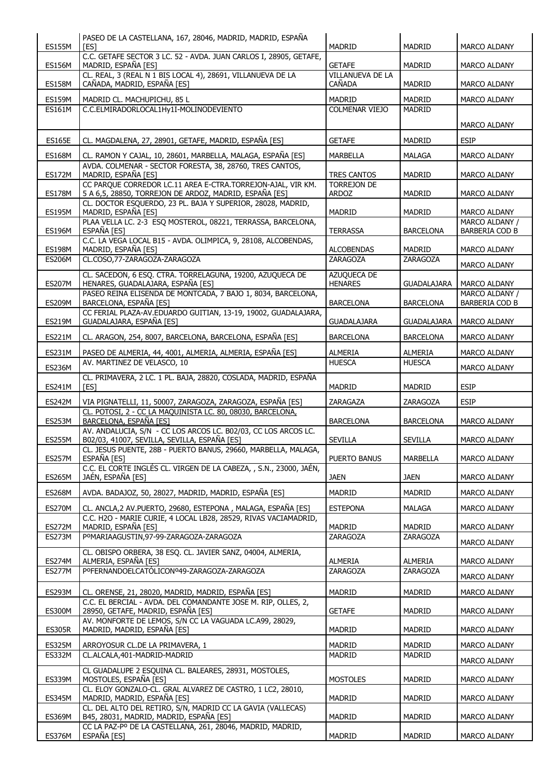| <b>ES155M</b>                  | PASEO DE LA CASTELLANA, 167, 28046, MADRID, MADRID, ESPAÑA<br><b>TEST</b>                                               | <b>MADRID</b>                      | <b>MADRID</b>      | MARCO ALDANY                     |
|--------------------------------|-------------------------------------------------------------------------------------------------------------------------|------------------------------------|--------------------|----------------------------------|
|                                | C.C. GETAFE SECTOR 3 LC. 52 - AVDA. JUAN CARLOS I, 28905, GETAFE,                                                       |                                    |                    |                                  |
| <b>ES156M</b>                  | MADRID, ESPAÑA [ES]<br>CL. REAL, 3 (REAL N 1 BIS LOCAL 4), 28691, VILLANUEVA DE LA                                      | <b>GETAFE</b><br>VILLANUEVA DE LA  | MADRID             | <b>MARCO ALDANY</b>              |
| <b>ES158M</b>                  | CAÑADA, MADRID, ESPAÑA [ES]                                                                                             | <b>CAÑADA</b>                      | <b>MADRID</b>      | MARCO ALDANY                     |
| <b>ES159M</b>                  | MADRID CL. MACHUPICHU, 85 L                                                                                             | MADRID                             | MADRID             | MARCO ALDANY                     |
| <b>ES161M</b>                  | C.C.ELMIRADORLOCAL1Hy1I-MOLINODEVIENTO                                                                                  | <b>COLMENAR VIEJO</b>              | MADRID             |                                  |
|                                |                                                                                                                         |                                    |                    | <b>MARCO ALDANY</b>              |
| <b>ES165E</b>                  | CL. MAGDALENA, 27, 28901, GETAFE, MADRID, ESPAÑA [ES]                                                                   | <b>GETAFE</b>                      | <b>MADRID</b>      | <b>ESIP</b>                      |
| <b>ES168M</b>                  | CL. RAMON Y CAJAL, 10, 28601, MARBELLA, MALAGA, ESPAÑA [ES]<br>AVDA. COLMENAR - SECTOR FORESTA, 38, 28760, TRES CANTOS, | <b>MARBELLA</b>                    | <b>MALAGA</b>      | MARCO ALDANY                     |
| <b>ES172M</b>                  | MADRID, ESPAÑA [ES]                                                                                                     | <b>TRES CANTOS</b>                 | MADRID             | <b>MARCO ALDANY</b>              |
| <b>ES178M</b>                  | CC PARQUE CORREDOR LC.11 AREA E-CTRA.TORREJON-AJAL, VIR KM.<br>5 A 6,5, 28850, TORREJON DE ARDOZ, MADRID, ESPAÑA [ES]   | <b>TORREJON DE</b><br><b>ARDOZ</b> | <b>MADRID</b>      | MARCO ALDANY                     |
| <b>ES195M</b>                  | CL. DOCTOR ESQUERDO, 23 PL. BAJA Y SUPERIOR, 28028, MADRID,<br>MADRID, ESPAÑA [ES]                                      | <b>MADRID</b>                      | MADRID             | <b>MARCO ALDANY</b>              |
| <b>ES196M</b>                  | PLAA VELLA LC. 2-3 ESQ MOSTEROL, 08221, TERRASSA, BARCELONA,<br>ESPAÑA [ES]                                             | <b>TERRASSA</b>                    | <b>BARCELONA</b>   | MARCO ALDANY /<br>BARBERIA COD B |
| <b>ES198M</b>                  | C.C. LA VEGA LOCAL B15 - AVDA. OLIMPICA, 9, 28108, ALCOBENDAS,<br>MADRID, ESPAÑA [ES]                                   | <b>ALCOBENDAS</b>                  | <b>MADRID</b>      | MARCO ALDANY                     |
| <b>ES206M</b>                  | CL.COSO,77-ZARAGOZA-ZARAGOZA                                                                                            | ZARAGOZA                           | <b>ZARAGOZA</b>    | MARCO ALDANY                     |
|                                | CL. SACEDON, 6 ESQ. CTRA. TORRELAGUNA, 19200, AZUQUECA DE                                                               | AZUQUECA DE                        |                    |                                  |
| <b>ES207M</b>                  | HENARES, GUADALAJARA, ESPAÑA [ES]<br>PASEO REINA ELISENDA DE MONTCADA, 7 BAJO 1, 8034, BARCELONA,                       | <b>HENARES</b>                     | <b>GUADALAJARA</b> | MARCO ALDANY<br>MARCO ALDANY /   |
| <b>ES209M</b>                  | BARCELONA, ESPAÑA [ES]                                                                                                  | <b>BARCELONA</b>                   | <b>BARCELONA</b>   | <b>BARBERIA COD B</b>            |
| <b>ES219M</b>                  | CC FERIAL PLAZA-AV.EDUARDO GUITIAN, 13-19, 19002, GUADALAJARA,<br>GUADALAJARA, ESPAÑA [ES]                              | <b>GUADALAJARA</b>                 | GUADALAJARA        | MARCO ALDANY                     |
| <b>ES221M</b>                  | CL. ARAGON, 254, 8007, BARCELONA, BARCELONA, ESPAÑA [ES]                                                                | <b>BARCELONA</b>                   | <b>BARCELONA</b>   | <b>MARCO ALDANY</b>              |
| <b>ES231M</b>                  | PASEO DE ALMERIA, 44, 4001, ALMERIA, ALMERIA, ESPAÑA [ES]                                                               | <b>ALMERIA</b>                     | <b>ALMERIA</b>     | <b>MARCO ALDANY</b>              |
| <b>ES236M</b>                  | AV. MARTINEZ DE VELASCO, 10                                                                                             | <b>HUESCA</b>                      | <b>HUESCA</b>      | MARCO ALDANY                     |
| ES241M                         | CL. PRIMAVERA, 2 LC. 1 PL. BAJA, 28820, COSLADA, MADRID, ESPAÑA<br>[ES]                                                 | <b>MADRID</b>                      | <b>MADRID</b>      | <b>ESIP</b>                      |
| <b>ES242M</b>                  | VIA PIGNATELLI, 11, 50007, ZARAGOZA, ZARAGOZA, ESPAÑA [ES]                                                              | ZARAGAZA                           | ZARAGOZA           | <b>ESIP</b>                      |
| <b>ES253M</b>                  | CL. POTOSI, 2 - CC LA MAQUINISTA LC. 80, 08030, BARCELONA,<br><b>BARCELONA, ESPAÑA [ES]</b>                             | <b>BARCELONA</b>                   | <b>BARCELONA</b>   | MARCO ALDANY                     |
| <b>ES255M</b>                  | AV. ANDALUCIA, S/N - CC LOS ARCOS LC. B02/03, CC LOS ARCOS LC.<br>B02/03, 41007, SEVILLA, SEVILLA, ESPAÑA [ES]          | SEVILLA                            | <b>SEVILLA</b>     | MARCO ALDANY                     |
| <b>ES257M</b>                  | CL. JESUS PUENTE, 28B - PUERTO BANUS, 29660, MARBELLA, MALAGA,<br>ESPAÑA [ES]                                           | PUERTO BANUS                       | MARBELLA           | MARCO ALDANY                     |
| <b>ES265M</b>                  | C.C. EL CORTE INGLÉS CL. VIRGEN DE LA CABEZA, , S.N., 23000, JAÉN,<br>JAÉN, ESPAÑA [ES]                                 | <b>JAEN</b>                        | <b>JAEN</b>        | MARCO ALDANY                     |
| <b>ES268M</b>                  | AVDA. BADAJOZ, 50, 28027, MADRID, MADRID, ESPAÑA [ES]                                                                   | MADRID                             | MADRID             | MARCO ALDANY                     |
| <b>ES270M</b>                  | CL. ANCLA,2 AV.PUERTO, 29680, ESTEPONA, MALAGA, ESPAÑA [ES]                                                             | <b>ESTEPONA</b>                    | <b>MALAGA</b>      | MARCO ALDANY                     |
|                                | C.C. H2O - MARIE CURIE, 4 LOCAL LB28, 28529, RIVAS VACIAMADRID,                                                         |                                    |                    |                                  |
| <b>ES272M</b><br><b>ES273M</b> | MADRID, ESPAÑA [ES]<br>POMARIAAGUSTIN, 97-99-ZARAGOZA-ZARAGOZA                                                          | MADRID<br>ZARAGOZA                 | MADRID<br>ZARAGOZA | MARCO ALDANY                     |
|                                | CL. OBISPO ORBERA, 38 ESQ. CL. JAVIER SANZ, 04004, ALMERIA,                                                             |                                    |                    | MARCO ALDANY                     |
| <b>ES274M</b>                  | ALMERIA, ESPAÑA [ES]                                                                                                    | <b>ALMERIA</b>                     | <b>ALMERIA</b>     | <b>MARCO ALDANY</b>              |
| <b>ES277M</b>                  | PºFERNANDOELCATÓLICONº49-ZARAGOZA-ZARAGOZA                                                                              | ZARAGOZA                           | ZARAGOZA           | <b>MARCO ALDANY</b>              |
| <b>ES293M</b>                  | CL. ORENSE, 21, 28020, MADRID, MADRID, ESPAÑA [ES]                                                                      | <b>MADRID</b>                      | <b>MADRID</b>      | MARCO ALDANY                     |
| <b>ES300M</b>                  | C.C. EL BERCIAL - AVDA. DEL COMANDANTE JOSE M. RIP, OLLES, 2,<br>28950, GETAFE, MADRID, ESPAÑA [ES]                     | <b>GETAFE</b>                      | MADRID             | MARCO ALDANY                     |
| <b>ES305R</b>                  | AV. MONFORTE DE LEMOS, S/N CC LA VAGUADA LC.A99, 28029,<br>MADRID, MADRID, ESPAÑA [ES]                                  | <b>MADRID</b>                      | <b>MADRID</b>      | MARCO ALDANY                     |
| <b>ES325M</b>                  | ARROYOSUR CL.DE LA PRIMAVERA, 1                                                                                         | MADRID                             | MADRID             | MARCO ALDANY                     |
| <b>ES332M</b>                  | CL.ALCALA, 401-MADRID-MADRID                                                                                            | MADRID                             | MADRID             | MARCO ALDANY                     |
| <b>ES339M</b>                  | CL GUADALUPE 2 ESQUINA CL. BALEARES, 28931, MOSTOLES,<br>MOSTOLES, ESPAÑA [ES]                                          | <b>MOSTOLES</b>                    | MADRID             | MARCO ALDANY                     |
| <b>ES345M</b>                  | CL. ELOY GONZALO-CL. GRAL ALVAREZ DE CASTRO, 1 LC2, 28010,<br>MADRID, MADRID, ESPAÑA [ES]                               | <b>MADRID</b>                      | MADRID             | MARCO ALDANY                     |
| <b>ES369M</b>                  | CL. DEL ALTO DEL RETIRO, S/N, MADRID CC LA GAVIA (VALLECAS)<br>B45, 28031, MADRID, MADRID, ESPAÑA [ES]                  | MADRID                             | MADRID             | MARCO ALDANY                     |
|                                | CC LA PAZ-Pº DE LA CASTELLANA, 261, 28046, MADRID, MADRID,                                                              |                                    |                    |                                  |
| <b>ES376M</b>                  | ESPAÑA [ES]                                                                                                             | MADRID                             | MADRID             | MARCO ALDANY                     |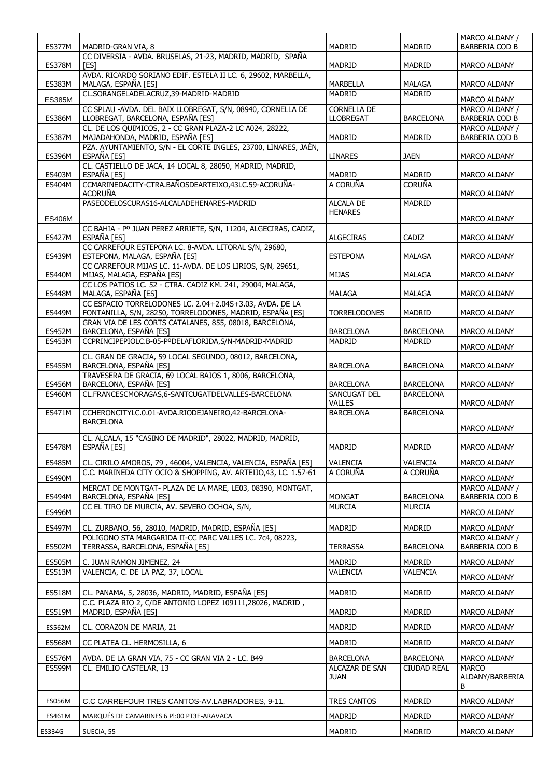| <b>ES377M</b>           | MADRID-GRAN VIA, 8                                                                                                   | <b>MADRID</b>                          | <b>MADRID</b>             | MARCO ALDANY /<br><b>BARBERIA COD B</b> |
|-------------------------|----------------------------------------------------------------------------------------------------------------------|----------------------------------------|---------------------------|-----------------------------------------|
|                         | CC DIVERSIA - AVDA. BRUSELAS, 21-23, MADRID, MADRID, SPAÑA                                                           |                                        |                           |                                         |
| <b>ES378M</b>           | <b>TES1</b><br>AVDA. RICARDO SORIANO EDIF. ESTELA II LC. 6, 29602, MARBELLA,                                         | MADRID                                 | <b>MADRID</b>             | MARCO ALDANY                            |
| <b>ES383M</b>           | MALAGA, ESPAÑA [ES]                                                                                                  | <b>MARBELLA</b>                        | <b>MALAGA</b>             | MARCO ALDANY                            |
| <b>ES385M</b>           | CL.SORANGELADELACRUZ,39-MADRID-MADRID                                                                                | <b>MADRID</b>                          | <b>MADRID</b>             | MARCO ALDANY                            |
| <b>ES386M</b>           | CC SPLAU -AVDA. DEL BAIX LLOBREGAT, S/N, 08940, CORNELLA DE<br>LLOBREGAT, BARCELONA, ESPAÑA [ES]                     | <b>CORNELLA DE</b><br><b>LLOBREGAT</b> | <b>BARCELONA</b>          | MARCO ALDANY /<br>BARBERIA COD B        |
| <b>ES387M</b>           | CL. DE LOS QUIMICOS, 2 - CC GRAN PLAZA-2 LC A024, 28222,<br>MAJADAHONDA, MADRID, ESPAÑA [ES]                         | <b>MADRID</b>                          | <b>MADRID</b>             | MARCO ALDANY /<br><b>BARBERIA COD B</b> |
| <b>ES396M</b>           | PZA. AYUNTAMIENTO, S/N - EL CORTE INGLES, 23700, LINARES, JAÉN,<br>ESPAÑA [ES]                                       | <b>LINARES</b>                         | <b>JAEN</b>               | MARCO ALDANY                            |
| <b>ES403M</b>           | CL. CASTIELLO DE JACA, 14 LOCAL 8, 28050, MADRID, MADRID,<br>ESPAÑA [ES]                                             | <b>MADRID</b>                          | <b>MADRID</b>             | MARCO ALDANY                            |
| <b>ES404M</b>           | CCMARINEDACITY-CTRA.BAÑOSDEARTEIXO,43LC.59-ACORUÑA-<br><b>ACORUÑA</b>                                                | A CORUÑA                               | <b>CORUÑA</b>             | MARCO ALDANY                            |
|                         | PASEODELOSCURAS16-ALCALADEHENARES-MADRID                                                                             | <b>ALCALA DE</b>                       | <b>MADRID</b>             |                                         |
| <b>ES406M</b>           |                                                                                                                      | <b>HENARES</b>                         |                           | MARCO ALDANY                            |
| <b>ES427M</b>           | CC BAHIA - Pº JUAN PEREZ ARRIETE, S/N, 11204, ALGECIRAS, CADIZ,<br>ESPAÑA [ES]                                       | <b>ALGECIRAS</b>                       | CADIZ                     | MARCO ALDANY                            |
| <b>ES439M</b>           | CC CARREFOUR ESTEPONA LC. 8-AVDA. LITORAL S/N, 29680,<br>ESTEPONA, MALAGA, ESPAÑA [ES]                               | <b>ESTEPONA</b>                        | MALAGA                    | <b>MARCO ALDANY</b>                     |
| <b>ES440M</b>           | CC CARREFOUR MIJAS LC. 11-AVDA. DE LOS LIRIOS, S/N, 29651,<br>MIJAS, MALAGA, ESPAÑA [ES]                             | MIJAS                                  | <b>MALAGA</b>             | MARCO ALDANY                            |
| <b>ES448M</b>           | CC LOS PATIOS LC. 52 - CTRA. CADIZ KM. 241, 29004, MALAGA,<br>MALAGA, ESPAÑA [ES]                                    | <b>MALAGA</b>                          | MALAGA                    | MARCO ALDANY                            |
|                         | CC ESPACIO TORRELODONES LC. 2.04+2.04S+3.03, AVDA. DE LA                                                             |                                        |                           |                                         |
| <b>ES449M</b>           | FONTANILLA, S/N, 28250, TORRELODONES, MADRID, ESPAÑA [ES]<br>GRAN VIA DE LES CORTS CATALANES, 855, 08018, BARCELONA, | <b>TORRELODONES</b>                    | <b>MADRID</b>             | MARCO ALDANY                            |
| <b>ES452M</b>           | BARCELONA, ESPAÑA [ES]                                                                                               | <b>BARCELONA</b>                       | <b>BARCELONA</b>          | MARCO ALDANY                            |
| <b>ES453M</b>           | CCPRINCIPEPIOLC.B-05-PºDELAFLORIDA,S/N-MADRID-MADRID                                                                 | <b>MADRID</b>                          | <b>MADRID</b>             | <b>MARCO ALDANY</b>                     |
| <b>ES455M</b>           | CL. GRAN DE GRACIA, 59 LOCAL SEGUNDO, 08012, BARCELONA,<br>BARCELONA, ESPAÑA [ES]                                    | <b>BARCELONA</b>                       | <b>BARCELONA</b>          | MARCO ALDANY                            |
| <b>ES456M</b>           | TRAVESERA DE GRACIA, 69 LOCAL BAJOS 1, 8006, BARCELONA,<br>BARCELONA, ESPAÑA [ES]                                    | <b>BARCELONA</b>                       | <b>BARCELONA</b>          | <b>MARCO ALDANY</b>                     |
| <b>ES460M</b>           | CL.FRANCESCMORAGAS, 6-SANTCUGATDELVALLES-BARCELONA                                                                   | SANCUGAT DEL<br><b>VALLES</b>          | <b>BARCELONA</b>          | MARCO ALDANY                            |
| ES471M                  | CCHERONCITYLC.0.01-AVDA.RIODEJANEIRO,42-BARCELONA-<br><b>BARCELONA</b>                                               | <b>BARCELONA</b>                       | <b>BARCELONA</b>          |                                         |
|                         | CL. ALCALA, 15 "CASINO DE MADRID", 28022, MADRID, MADRID,                                                            |                                        |                           | <b>MARCO ALDANY</b>                     |
| <b>ES478M</b>           | ESPAÑA [ES]                                                                                                          | MADRID                                 | MADRID                    | MARCO ALDANY                            |
| <b>ES485M</b>           | CL. CIRILO AMOROS, 79, 46004, VALENCIA, VALENCIA, ESPAÑA [ES]                                                        | <b>VALENCIA</b>                        | VALENCIA                  | MARCO ALDANY                            |
| ES490M                  | C.C. MARINEDA CITY OCIO & SHOPPING, AV. ARTEIJO, 43, LC. 1.57-61                                                     | A CORUÑA                               | A CORUÑA                  | MARCO ALDANY                            |
| <b>ES494M</b>           | MERCAT DE MONTGAT- PLAZA DE LA MARE, LE03, 08390, MONTGAT,<br>BARCELONA, ESPAÑA [ES]                                 | <b>MONGAT</b>                          | <b>BARCELONA</b>          | MARCO ALDANY /<br>BARBERIA COD B        |
| <b>ES496M</b>           | CC EL TIRO DE MURCIA, AV. SEVERO OCHOA, S/N,                                                                         | <b>MURCIA</b>                          | <b>MURCIA</b>             | <b>MARCO ALDANY</b>                     |
| <b>ES497M</b>           | CL. ZURBANO, 56, 28010, MADRID, MADRID, ESPAÑA [ES]                                                                  | MADRID                                 | <b>MADRID</b>             |                                         |
|                         | POLIGONO STA MARGARIDA II-CC PARC VALLES LC. 7c4, 08223,                                                             |                                        |                           | MARCO ALDANY<br>MARCO ALDANY /          |
| <b>ES502M</b>           | TERRASSA, BARCELONA, ESPAÑA [ES]                                                                                     | <b>TERRASSA</b>                        | <b>BARCELONA</b>          | BARBERIA COD B                          |
| <b>ES505M</b><br>ES513M | C. JUAN RAMON JIMENEZ, 24<br>VALENCIA, C. DE LA PAZ, 37, LOCAL                                                       | MADRID<br>VALENCIA                     | <b>MADRID</b><br>VALENCIA | MARCO ALDANY                            |
|                         |                                                                                                                      |                                        |                           | MARCO ALDANY                            |
| <b>ES518M</b>           | CL. PANAMA, 5, 28036, MADRID, MADRID, ESPAÑA [ES]<br>C.C. PLAZA RIO 2, C/DE ANTONIO LOPEZ 109111,28026, MADRID,      | MADRID                                 | MADRID                    | MARCO ALDANY                            |
| <b>ES519M</b>           | MADRID, ESPAÑA [ES]                                                                                                  | <b>MADRID</b>                          | <b>MADRID</b>             | MARCO ALDANY                            |
| ES562M                  | CL. CORAZON DE MARIA, 21                                                                                             | <b>MADRID</b>                          | <b>MADRID</b>             | MARCO ALDANY                            |
| <b>ES568M</b>           | CC PLATEA CL. HERMOSILLA, 6                                                                                          | MADRID                                 | MADRID                    | MARCO ALDANY                            |
| <b>ES576M</b>           | AVDA. DE LA GRAN VIA, 75 - CC GRAN VIA 2 - LC. B49                                                                   | <b>BARCELONA</b>                       | <b>BARCELONA</b>          | MARCO ALDANY                            |
| <b>ES599M</b>           | CL. EMILIO CASTELAR, 13                                                                                              | ALCAZAR DE SAN<br><b>JUAN</b>          | <b>CIUDAD REAL</b>        | <b>MARCO</b><br>ALDANY/BARBERIA<br>B    |
| ES056M                  | C.C CARREFOUR TRES CANTOS-AV.LABRADORES, 9-11,                                                                       | <b>TRES CANTOS</b>                     | MADRID                    | MARCO ALDANY                            |
| ES461M                  | MARQUÉS DE CAMARINES 6 PI:00 PT3E-ARAVACA                                                                            | MADRID                                 | <b>MADRID</b>             | MARCO ALDANY                            |
| ES334G                  | SUECIA, 55                                                                                                           | MADRID                                 | MADRID                    | MARCO ALDANY                            |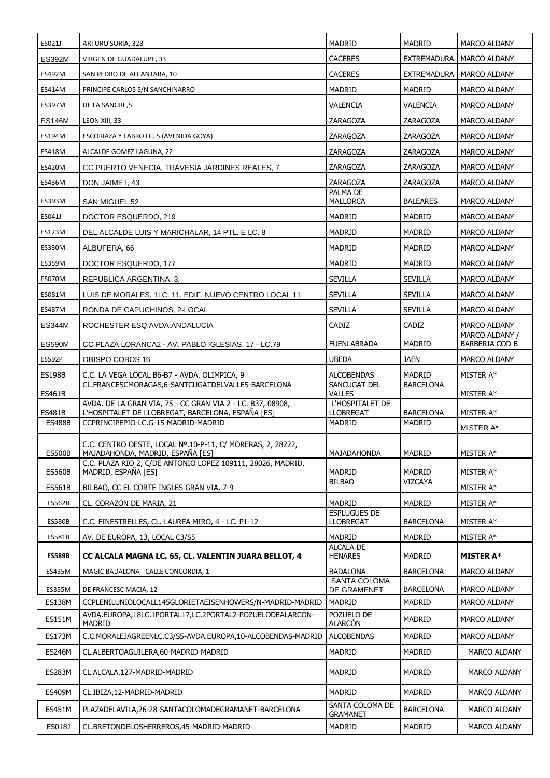| ES021J                         | ARTURO SORIA, 328                                                                                               | <b>MADRID</b>                        | <b>MADRID</b>              | <b>MARCO ALDANY</b>        |
|--------------------------------|-----------------------------------------------------------------------------------------------------------------|--------------------------------------|----------------------------|----------------------------|
| <b>ES392M</b>                  | VIRGEN DE GUADALUPE, 33                                                                                         | <b>CACERES</b>                       | <b>EXTREMADURA</b>         | MARCO ALDANY               |
| ES492M                         | SAN PEDRO DE ALCANTARA, 10                                                                                      | <b>CACERES</b>                       |                            | EXTREMADURA I MARCO ALDANY |
| ES414M                         | PRINCIPE CARLOS S/N SANCHINARRO                                                                                 | <b>MADRID</b>                        | <b>MADRID</b>              | <b>MARCO ALDANY</b>        |
| ES397M                         | DE LA SANGRE, 5                                                                                                 | VALENCIA                             | VALENCIA                   | <b>MARCO ALDANY</b>        |
| <b>ES146M</b>                  | LEON XIII, 33                                                                                                   | ZARAGOZA                             | ZARAGOZA                   | <b>MARCO ALDANY</b>        |
| ES194M                         | ESCORIAZA Y FABRO LC. 5 (AVENIDA GOYA)                                                                          | ZARAGOZA                             | ZARAGOZA                   | MARCO ALDANY               |
| ES418M                         | ALCALDE GOMEZ LAGUNA, 22                                                                                        | ZARAGOZA                             | ZARAGOZA                   | <b>MARCO ALDANY</b>        |
| <b>ES420M</b>                  | CC PUERTO VENECIA, TRAVESIA JARDINES REALES, 7                                                                  | ZARAGOZA                             | ZARAGOZA                   | MARCO ALDANY               |
| ES436M                         | DON JAIME I, 43                                                                                                 | ZARAGOZA                             | ZARAGOZA                   | <b>MARCO ALDANY</b>        |
| ES393M                         | SAN MIGUEL 52                                                                                                   | PALMA DE<br>MALLORCA                 | <b>BALEARES</b>            | MARCO ALDANY               |
| ES041J                         | DOCTOR ESQUERDO, 219                                                                                            | <b>MADRID</b>                        | MADRID                     | MARCO ALDANY               |
| ES123M                         | DEL ALCALDE LUIS Y MARICHALAR, 14 PTL. E LC. 8                                                                  | <b>MADRID</b>                        | <b>MADRID</b>              | <b>MARCO ALDANY</b>        |
| ES330M                         | ALBUFERA, 66                                                                                                    | <b>MADRID</b>                        | <b>MADRID</b>              | <b>MARCO ALDANY</b>        |
| ES359M                         | DOCTOR ESQUERDO, 177                                                                                            | <b>MADRID</b>                        | MADRID                     | MARCO ALDANY               |
| ES070M                         | REPUBLICA ARGENTINA, 3,                                                                                         | <b>SEVILLA</b>                       | <b>SEVILLA</b>             | <b>MARCO ALDANY</b>        |
| ES081M                         | LUIS DE MORALES, 1LC. 11. EDIF. NUEVO CENTRO LOCAL 11                                                           | SEVILLA                              | <b>SEVILLA</b>             | MARCO ALDANY               |
| <b>ES487M</b>                  | RONDA DE CAPUCHINOS, 2-LOCAL                                                                                    | SEVILLA                              | SEVILLA                    | MARCO ALDANY               |
| <b>ES344M</b>                  | ROCHESTER ESQ.AVDA.ANDALUCIA                                                                                    | CADIZ                                | CADIZ                      | MARCO ALDANY               |
|                                |                                                                                                                 |                                      | <b>MADRID</b>              | MARCO ALDANY /             |
| <b>ES590M</b>                  | CC PLAZA LORANCA2 - AV. PABLO IGLESIAS, 17 - LC.79                                                              | <b>FUENLABRADA</b><br><b>UBEDA</b>   | <b>JAEN</b>                | BARBERIA COD B             |
| <b>ES592P</b>                  | OBISPO COBOS 16                                                                                                 |                                      |                            | <b>MARCO ALDANY</b>        |
| <b>ES198B</b><br><b>ES461B</b> | C.C. LA VEGA LOCAL B6-B7 - AVDA. OLIMPICA, 9<br>CL.FRANCESCMORAGAS, 6-SANTCUGATDELVALLES-BARCELONA              | ALCOBENDAS<br>SANCUGAT DEL<br>VALLES | MADRID<br><b>BARCELONA</b> | MISTER A*<br>MISTER A*     |
| <b>ES481B</b>                  | AVDA. DE LA GRAN VIA, 75 - CC GRAN VIA 2 - LC. B37, 08908,<br>L'HOSPITALET DE LLOBREGAT, BARCELONA, ESPAÑA [ES] | L'HOSPITALET DE<br><b>LLOBREGAT</b>  | <b>BARCELONA</b>           | MISTER A*                  |
| <b>ES488B</b>                  | CCPRINCIPEPIO-LC.G-15-MADRID-MADRID                                                                             | <b>MADRID</b>                        | <b>MADRID</b>              | MISTER A*                  |
| <b>ES500B</b>                  | C.C. CENTRO OESTE, LOCAL Nº.10-P-11, C/ MORERAS, 2, 28222,<br>MAJADAHONDA, MADRID, ESPAÑA [ES]                  | MAJADAHONDA                          | <b>MADRID</b>              | MISTER A*                  |
|                                | C.C. PLAZA RIO 2, C/DE ANTONIO LOPEZ 109111, 28026, MADRID,                                                     |                                      |                            |                            |
| <b>ES560B</b>                  | MADRID, ESPAÑA [ES]                                                                                             | MADRID<br><b>BILBAO</b>              | MADRID<br>VIZCAYA          | MISTER A*                  |
| <b>ES561B</b>                  | BILBAO, CC EL CORTE INGLES GRAN VIA, 7-9                                                                        |                                      |                            | MISTER A*                  |
| ES562B                         | CL. CORAZON DE MARIA, 21                                                                                        | MADRID<br><b>ESPLUGUES DE</b>        | MADRID                     | MISTER A*                  |
| <b>ES580B</b>                  | C.C. FINESTRELLES, CL. LAUREA MIRO, 4 - LC. P1-12                                                               | <b>LLOBREGAT</b>                     | <b>BARCELONA</b>           | MISTER A*                  |
| ES581B                         | AV. DE EUROPA, 13, LOCAL C3/S5                                                                                  | MADRID                               | <b>MADRID</b>              | MISTER A*                  |
| <b>ES589B</b>                  | CC ALCALA MAGNA LC. 65, CL. VALENTIN JUARA BELLOT, 4                                                            | <b>ALCALA DE</b><br><b>HENARES</b>   | MADRID                     | <b>MISTER A*</b>           |
| ES435M                         | MAGIC BADALONA - CALLE CONCORDIA, 1                                                                             | <b>BADALONA</b>                      | <b>BARCELONA</b>           | MARCO ALDANY               |
| ES355M                         | DE FRANCESC MACIÀ, 12                                                                                           | <b>SANTA COLOMA</b><br>DE GRAMENET   | <b>BARCELONA</b>           | MARCO ALDANY               |
| <b>ES138M</b>                  | CCPLENILUNIOLOCALL145GLORIETAEISENHOWERS/N-MADRID-MADRID                                                        | <b>MADRID</b>                        | MADRID                     | MARCO ALDANY               |
| <b>ES151M</b>                  | AVDA.EUROPA,18LC.1PORTAL17,LC.2PORTAL2-POZUELODEALARCON-<br><b>MADRID</b>                                       | POZUELO DE<br><b>ALARCÓN</b>         | MADRID                     | MARCO ALDANY               |
| <b>ES173M</b>                  | C.C.MORALEJAGREENLC.C3/S5-AVDA.EUROPA,10-ALCOBENDAS-MADRID                                                      | <b>ALCOBENDAS</b>                    | MADRID                     | MARCO ALDANY               |
| <b>ES246M</b>                  | CL.ALBERTOAGUILERA,60-MADRID-MADRID                                                                             | MADRID                               | MADRID                     | MARCO ALDANY               |
| <b>ES283M</b>                  | CL.ALCALA,127-MADRID-MADRID                                                                                     | <b>MADRID</b>                        | MADRID                     | <b>MARCO ALDANY</b>        |
| ES409M                         | CL.IBIZA,12-MADRID-MADRID                                                                                       | MADRID                               | MADRID                     | MARCO ALDANY               |
| <b>ES451M</b>                  | PLAZADELAVILA, 26-28-SANTACOLOMADEGRAMANET-BARCELONA                                                            | SANTA COLOMA DE<br><b>GRAMANET</b>   | <b>BARCELONA</b>           | <b>MARCO ALDANY</b>        |
| ES018J                         | CL.BRETONDELOSHERREROS, 45-MADRID-MADRID                                                                        | <b>MADRID</b>                        | MADRID                     | <b>MARCO ALDANY</b>        |